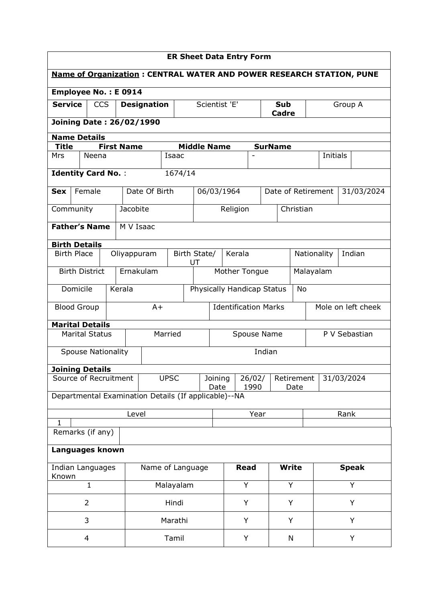| <b>ER Sheet Data Entry Form</b>                                             |                                   |  |                   |                            |               |                    |      |               |                                      |                            |           |                       |         |                    |
|-----------------------------------------------------------------------------|-----------------------------------|--|-------------------|----------------------------|---------------|--------------------|------|---------------|--------------------------------------|----------------------------|-----------|-----------------------|---------|--------------------|
| <b>Name of Organization: CENTRAL WATER AND POWER RESEARCH STATION, PUNE</b> |                                   |  |                   |                            |               |                    |      |               |                                      |                            |           |                       |         |                    |
| <b>Employee No.: E 0914</b>                                                 |                                   |  |                   |                            |               |                    |      |               |                                      |                            |           |                       |         |                    |
| <b>Service</b>                                                              | <b>CCS</b>                        |  |                   | <b>Designation</b>         |               |                    |      | Scientist 'E' |                                      | <b>Sub</b><br><b>Cadre</b> |           |                       | Group A |                    |
|                                                                             | <b>Joining Date: 26/02/1990</b>   |  |                   |                            |               |                    |      |               |                                      |                            |           |                       |         |                    |
| <b>Name Details</b>                                                         |                                   |  |                   |                            |               |                    |      |               |                                      |                            |           |                       |         |                    |
| <b>Title</b>                                                                |                                   |  | <b>First Name</b> |                            |               | <b>Middle Name</b> |      |               |                                      | <b>SurName</b>             |           |                       |         |                    |
| Mrs                                                                         | Neena                             |  |                   |                            | Isaac         |                    |      |               |                                      |                            |           | Initials              |         |                    |
| <b>Identity Card No.:</b>                                                   |                                   |  |                   |                            | 1674/14       |                    |      |               |                                      |                            |           |                       |         |                    |
| <b>Sex</b>                                                                  | Female                            |  |                   | Date Of Birth              |               |                    |      | 06/03/1964    |                                      | Date of Retirement         |           |                       |         | 31/03/2024         |
| Community                                                                   |                                   |  | Jacobite          |                            |               |                    |      | Religion      |                                      |                            | Christian |                       |         |                    |
|                                                                             | <b>Father's Name</b><br>M V Isaac |  |                   |                            |               |                    |      |               |                                      |                            |           |                       |         |                    |
| <b>Birth Details</b>                                                        |                                   |  |                   |                            |               |                    |      |               |                                      |                            |           |                       |         |                    |
|                                                                             | <b>Birth Place</b><br>Oliyappuram |  |                   |                            |               | Birth State/<br>UT |      |               | Kerala                               |                            |           | Indian<br>Nationality |         |                    |
| <b>Birth District</b><br>Ernakulam                                          |                                   |  |                   |                            | Mother Tongue |                    |      |               | Malayalam                            |                            |           |                       |         |                    |
| Kerala<br>Domicile                                                          |                                   |  |                   | Physically Handicap Status |               |                    |      |               |                                      | <b>No</b>                  |           |                       |         |                    |
| <b>Blood Group</b>                                                          |                                   |  |                   | $A+$                       |               |                    |      |               | <b>Identification Marks</b>          |                            |           |                       |         | Mole on left cheek |
| <b>Marital Details</b>                                                      |                                   |  |                   |                            |               |                    |      |               |                                      |                            |           |                       |         |                    |
|                                                                             | <b>Marital Status</b>             |  |                   |                            | Married       |                    |      |               | Spouse Name                          |                            |           |                       |         | P V Sebastian      |
|                                                                             | <b>Spouse Nationality</b>         |  |                   |                            | Indian        |                    |      |               |                                      |                            |           |                       |         |                    |
| <b>Joining Details</b>                                                      |                                   |  |                   |                            |               |                    |      |               |                                      |                            |           |                       |         |                    |
|                                                                             | Source of Recruitment             |  |                   |                            | <b>UPSC</b>   | Joining<br>Date    |      |               | Retirement<br>26/02/<br>1990<br>Date |                            |           | 31/03/2024            |         |                    |
| Departmental Examination Details (If applicable)--NA                        |                                   |  |                   |                            |               |                    |      |               |                                      |                            |           |                       |         |                    |
| $\mathbf{1}$                                                                |                                   |  | Level             |                            |               |                    | Year |               |                                      |                            | Rank      |                       |         |                    |
|                                                                             | Remarks (if any)                  |  |                   |                            |               |                    |      |               |                                      |                            |           |                       |         |                    |
|                                                                             | Languages known                   |  |                   |                            |               |                    |      |               |                                      |                            |           |                       |         |                    |
| Indian Languages                                                            |                                   |  | Name of Language  |                            |               | <b>Read</b>        |      | <b>Write</b>  |                                      |                            |           | <b>Speak</b>          |         |                    |
| Known                                                                       | $\mathbf{1}$                      |  |                   |                            | Malayalam     |                    |      | Y             |                                      |                            | Y         |                       | Y       |                    |
|                                                                             | $\overline{2}$                    |  |                   |                            | Hindi         |                    |      |               | Y                                    |                            | Y         |                       | Y       |                    |
|                                                                             | 3                                 |  |                   |                            | Marathi       |                    |      |               | Y                                    | Y                          |           | Y                     |         |                    |
| $\overline{4}$                                                              |                                   |  |                   | Tamil                      |               |                    |      | Y             | N                                    |                            |           |                       | Y       |                    |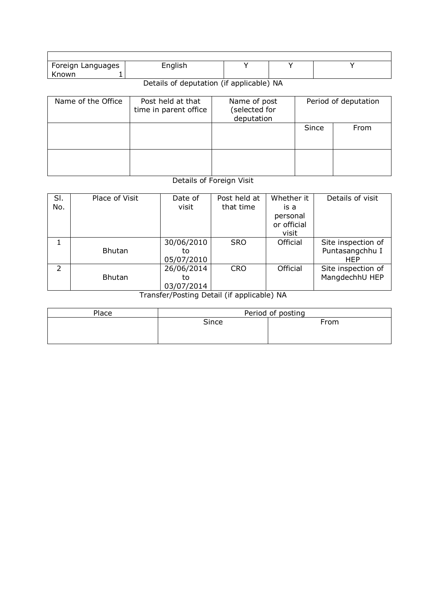| Foreign Languages<br>≾nown∶<br> | English |  |  |
|---------------------------------|---------|--|--|

## Details of deputation (if applicable) NA

| Name of the Office | Post held at that<br>time in parent office | Name of post<br>(selected for<br>deputation | Period of deputation |      |  |  |
|--------------------|--------------------------------------------|---------------------------------------------|----------------------|------|--|--|
|                    |                                            |                                             | Since                | From |  |  |
|                    |                                            |                                             |                      |      |  |  |

## Details of Foreign Visit

| SI.<br>No.     | Place of Visit | Date of<br>visit               | Post held at<br>that time | Whether it<br>is a<br>personal<br>or official<br>visit | Details of visit                             |
|----------------|----------------|--------------------------------|---------------------------|--------------------------------------------------------|----------------------------------------------|
|                | <b>Bhutan</b>  | 30/06/2010<br>to<br>05/07/2010 | <b>SRO</b>                | Official                                               | Site inspection of<br>Puntasangchhu I<br>HEP |
| $\overline{2}$ | <b>Bhutan</b>  | 26/06/2014<br>to<br>03/07/2014 | <b>CRO</b>                | Official                                               | Site inspection of<br>MangdechhU HEP         |

Transfer/Posting Detail (if applicable) NA

| Place | Period of posting |      |  |  |  |  |  |
|-------|-------------------|------|--|--|--|--|--|
|       | Since             | From |  |  |  |  |  |
|       |                   |      |  |  |  |  |  |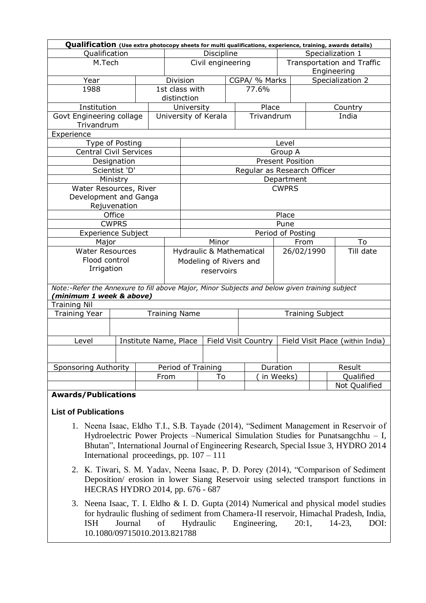|                                                                                               | Qualification (Use extra photocopy sheets for multi qualifications, experience, training, awards details) |  |            |                           |                      |                  |                             |                                  |                         |                  |  |
|-----------------------------------------------------------------------------------------------|-----------------------------------------------------------------------------------------------------------|--|------------|---------------------------|----------------------|------------------|-----------------------------|----------------------------------|-------------------------|------------------|--|
| Qualification                                                                                 |                                                                                                           |  | Discipline |                           |                      | Specialization 1 |                             |                                  |                         |                  |  |
| M.Tech                                                                                        |                                                                                                           |  |            | Civil engineering         |                      |                  |                             | Transportation and Traffic       |                         |                  |  |
|                                                                                               |                                                                                                           |  |            |                           |                      |                  |                             | Engineering                      |                         |                  |  |
| Year                                                                                          |                                                                                                           |  |            | CGPA/ % Marks<br>Division |                      |                  |                             |                                  |                         | Specialization 2 |  |
| 1988                                                                                          |                                                                                                           |  |            | 1st class with            |                      |                  | 77.6%                       |                                  |                         |                  |  |
|                                                                                               |                                                                                                           |  |            | distinction               |                      |                  |                             |                                  |                         |                  |  |
| Institution                                                                                   |                                                                                                           |  |            | University                |                      |                  | Place                       |                                  |                         | Country          |  |
| Govt Engineering collage                                                                      |                                                                                                           |  |            |                           | University of Kerala |                  | Trivandrum                  |                                  |                         | India            |  |
| Trivandrum                                                                                    |                                                                                                           |  |            |                           |                      |                  |                             |                                  |                         |                  |  |
|                                                                                               | Experience                                                                                                |  |            |                           |                      |                  |                             |                                  |                         |                  |  |
|                                                                                               | Type of Posting                                                                                           |  |            |                           |                      |                  |                             | Level                            |                         |                  |  |
| <b>Central Civil Services</b>                                                                 |                                                                                                           |  |            |                           |                      |                  |                             | Group A                          |                         |                  |  |
|                                                                                               | Designation                                                                                               |  |            |                           |                      |                  |                             | <b>Present Position</b>          |                         |                  |  |
|                                                                                               | Scientist 'D'                                                                                             |  |            |                           |                      |                  | Regular as Research Officer |                                  |                         |                  |  |
|                                                                                               | Ministry                                                                                                  |  |            |                           |                      |                  |                             | Department                       |                         |                  |  |
| Water Resources, River                                                                        |                                                                                                           |  |            |                           |                      |                  |                             | <b>CWPRS</b>                     |                         |                  |  |
| Development and Ganga                                                                         |                                                                                                           |  |            |                           |                      |                  |                             |                                  |                         |                  |  |
|                                                                                               | Rejuvenation                                                                                              |  |            |                           |                      |                  |                             |                                  |                         |                  |  |
|                                                                                               | Office                                                                                                    |  |            | Place                     |                      |                  |                             |                                  |                         |                  |  |
|                                                                                               | <b>CWPRS</b>                                                                                              |  |            | Pune                      |                      |                  |                             |                                  |                         |                  |  |
| <b>Experience Subject</b>                                                                     |                                                                                                           |  |            | Period of Posting         |                      |                  |                             |                                  |                         |                  |  |
| Major                                                                                         |                                                                                                           |  |            | Minor                     |                      |                  |                             |                                  | From                    | To               |  |
| <b>Water Resources</b>                                                                        |                                                                                                           |  |            | Hydraulic & Mathematical  |                      |                  |                             |                                  | 26/02/1990              | Till date        |  |
| Flood control                                                                                 |                                                                                                           |  |            | Modeling of Rivers and    |                      |                  |                             |                                  |                         |                  |  |
| Irrigation                                                                                    |                                                                                                           |  |            | reservoirs                |                      |                  |                             |                                  |                         |                  |  |
|                                                                                               |                                                                                                           |  |            |                           |                      |                  |                             |                                  |                         |                  |  |
| Note:-Refer the Annexure to fill above Major, Minor Subjects and below given training subject |                                                                                                           |  |            |                           |                      |                  |                             |                                  |                         |                  |  |
| (minimum 1 week & above)                                                                      |                                                                                                           |  |            |                           |                      |                  |                             |                                  |                         |                  |  |
| <b>Training Nil</b>                                                                           |                                                                                                           |  |            |                           |                      |                  |                             |                                  |                         |                  |  |
| <b>Training Year</b>                                                                          |                                                                                                           |  |            | <b>Training Name</b>      |                      |                  |                             |                                  | <b>Training Subject</b> |                  |  |
|                                                                                               |                                                                                                           |  |            |                           |                      |                  |                             |                                  |                         |                  |  |
| Level                                                                                         | Institute Name, Place                                                                                     |  |            |                           | Field Visit Country  |                  |                             | Field Visit Place (within India) |                         |                  |  |
|                                                                                               |                                                                                                           |  |            |                           |                      |                  |                             |                                  |                         |                  |  |
|                                                                                               |                                                                                                           |  |            |                           |                      |                  |                             |                                  |                         |                  |  |
| <b>Sponsoring Authority</b>                                                                   |                                                                                                           |  |            | Period of Training        |                      |                  |                             | Duration                         |                         | Result           |  |
|                                                                                               |                                                                                                           |  | From       |                           | To                   |                  |                             | in Weeks)                        |                         | Qualified        |  |
|                                                                                               |                                                                                                           |  |            |                           |                      |                  |                             |                                  |                         | Not Qualified    |  |
| <b>Awards/Publications</b>                                                                    |                                                                                                           |  |            |                           |                      |                  |                             |                                  |                         |                  |  |

## **List of Publications**

- 1. Neena Isaac, Eldho T.I., S.B. Tayade (2014), "Sediment Management in Reservoir of Hydroelectric Power Projects –Numerical Simulation Studies for Punatsangchhu – I, Bhutan", International Journal of Engineering Research, Special Issue 3, HYDRO 2014 International proceedings, pp. 107 – 111
- 2. K. Tiwari, S. M. Yadav, Neena Isaac, P. D. Porey (2014), "Comparison of Sediment Deposition/ erosion in lower Siang Reservoir using selected transport functions in HECRAS HYDRO 2014, pp. 676 - 687
- 3. Neena Isaac, T. I. Eldho & I. D. Gupta (2014) Numerical and physical model studies for hydraulic flushing of sediment from Chamera-II reservoir, Himachal Pradesh, India, ISH Journal of Hydraulic Engineering, 20:1, 14-23, DOI: 10.1080/09715010.2013.821788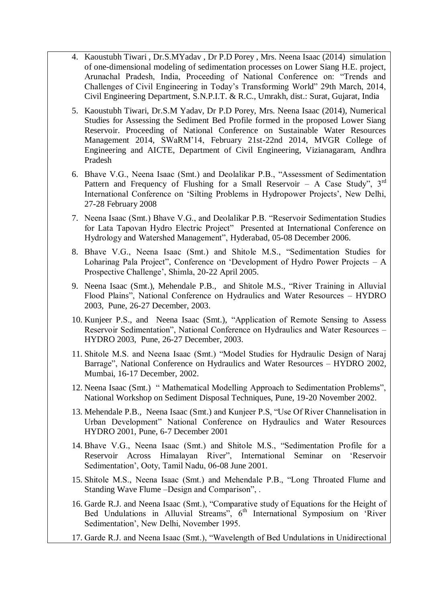- 4. Kaoustubh Tiwari , Dr.S.MYadav , Dr P.D Porey , Mrs. Neena Isaac (2014) simulation of one-dimensional modeling of sedimentation processes on Lower Siang H.E. project, Arunachal Pradesh, India, Proceeding of National Conference on: "Trends and Challenges of Civil Engineering in Today's Transforming World" 29th March, 2014, Civil Engineering Department, S.N.P.I.T. & R.C., Umrakh, dist.: Surat, Gujarat, India
- 5. Kaoustubh Tiwari, Dr.S.M Yadav, Dr P.D Porey, Mrs. Neena Isaac (2014), Numerical Studies for Assessing the Sediment Bed Profile formed in the proposed Lower Siang Reservoir. Proceeding of National Conference on Sustainable Water Resources Management 2014, SWaRM'14, February 21st-22nd 2014, MVGR College of Engineering and AICTE, Department of Civil Engineering, Vizianagaram, Andhra Pradesh
- 6. Bhave V.G., Neena Isaac (Smt.) and Deolalikar P.B., "Assessment of Sedimentation Pattern and Frequency of Flushing for a Small Reservoir – A Case Study",  $3<sup>rd</sup>$ International Conference on 'Silting Problems in Hydropower Projects', New Delhi, 27-28 February 2008
- 7. Neena Isaac (Smt.) Bhave V.G., and Deolalikar P.B. "Reservoir Sedimentation Studies for Lata Tapovan Hydro Electric Project" Presented at International Conference on Hydrology and Watershed Management", Hyderabad, 05-08 December 2006.
- 8. Bhave V.G., Neena Isaac (Smt.) and Shitole M.S., "Sedimentation Studies for Loharinag Pala Project", Conference on 'Development of Hydro Power Projects – A Prospective Challenge', Shimla, 20-22 April 2005.
- 9. Neena Isaac (Smt.), Mehendale P.B., and Shitole M.S., "River Training in Alluvial Flood Plains", National Conference on Hydraulics and Water Resources – HYDRO 2003, Pune, 26-27 December, 2003.
- 10. Kunjeer P.S., and Neena Isaac (Smt.), "Application of Remote Sensing to Assess Reservoir Sedimentation", National Conference on Hydraulics and Water Resources – HYDRO 2003, Pune, 26-27 December, 2003.
- 11. Shitole M.S. and Neena Isaac (Smt.) "Model Studies for Hydraulic Design of Naraj Barrage", National Conference on Hydraulics and Water Resources – HYDRO 2002, Mumbai, 16-17 December, 2002.
- 12. Neena Isaac (Smt.) " Mathematical Modelling Approach to Sedimentation Problems", National Workshop on Sediment Disposal Techniques, Pune, 19-20 November 2002.
- 13. Mehendale P.B., Neena Isaac (Smt.) and Kunjeer P.S, "Use Of River Channelisation in Urban Development" National Conference on Hydraulics and Water Resources HYDRO 2001, Pune, 6-7 December 2001
- 14. Bhave V.G., Neena Isaac (Smt.) and Shitole M.S., "Sedimentation Profile for a Reservoir Across Himalayan River", International Seminar on 'Reservoir Sedimentation', Ooty, Tamil Nadu, 06-08 June 2001.
- 15. Shitole M.S., Neena Isaac (Smt.) and Mehendale P.B., "Long Throated Flume and Standing Wave Flume –Design and Comparison", .
- 16. Garde R.J. and Neena Isaac (Smt.), "Comparative study of Equations for the Height of Bed Undulations in Alluvial Streams",  $6<sup>th</sup>$  International Symposium on 'River Sedimentation', New Delhi, November 1995.
- 17. Garde R.J. and Neena Isaac (Smt.), "Wavelength of Bed Undulations in Unidirectional